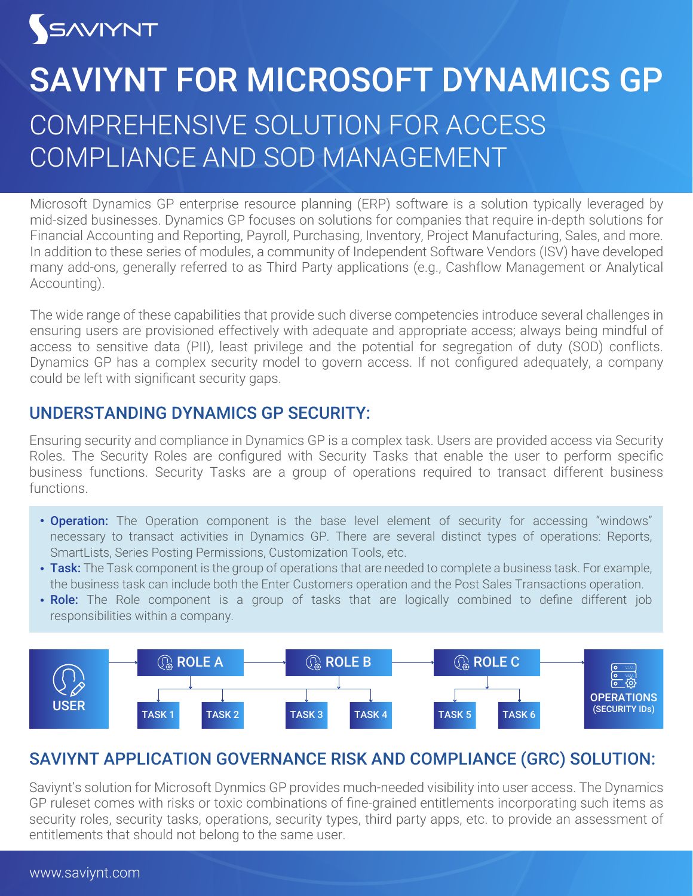# SAVIYNT

# COMPREHENSIVE SOLUTION FOR ACCESS COMPLIANCE AND SOD MANAGEMENT SAVIYNT FOR MICROSOFT DYNAMICS GP

Microsoft Dynamics GP enterprise resource planning (ERP) software is a solution typically leveraged by mid-sized businesses. Dynamics GP focuses on solutions for companies that require in-depth solutions for Financial Accounting and Reporting, Payroll, Purchasing, Inventory, Project Manufacturing, Sales, and more. In addition to these series of modules, a community of Independent Software Vendors (ISV) have developed many add-ons, generally referred to as Third Party applications (e.g., Cashflow Management or Analytical Accounting).

The wide range of these capabilities that provide such diverse competencies introduce several challenges in ensuring users are provisioned effectively with adequate and appropriate access; always being mindful of access to sensitive data (PII), least privilege and the potential for segregation of duty (SOD) conflicts. Dynamics GP has a complex security model to govern access. If not configured adequately, a company could be left with significant security gaps.

### UNDERSTANDING DYNAMICS GP SECURITY:

Ensuring security and compliance in Dynamics GP is a complex task. Users are provided access via Security Roles. The Security Roles are configured with Security Tasks that enable the user to perform specific business functions. Security Tasks are a group of operations required to transact different business functions.

- **Operation:** The Operation component is the base level element of security for accessing "windows" necessary to transact activities in Dynamics GP. There are several distinct types of operations: Reports, SmartLists, Series Posting Permissions, Customization Tools, etc.
- Task: The Task component is the group of operations that are needed to complete a business task. For example, the business task can include both the Enter Customers operation and the Post Sales Transactions operation.
- Role: The Role component is a group of tasks that are logically combined to define different job responsibilities within a company.



## SAVIYNT APPLICATION GOVERNANCE RISK AND COMPLIANCE (GRC) SOLUTION:

Saviynt's solution for Microsoft Dynmics GP provides much-needed visibility into user access. The Dynamics GP ruleset comes with risks or toxic combinations of fine-grained entitlements incorporating such items as security roles, security tasks, operations, security types, third party apps, etc. to provide an assessment of entitlements that should not belong to the same user.